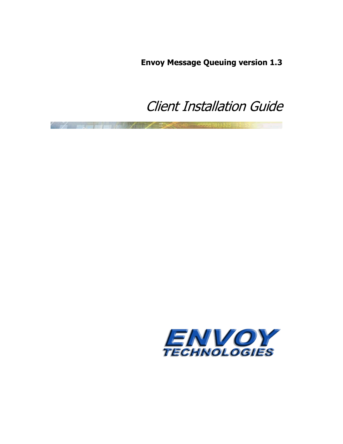**Envoy Message Queuing version 1.3**

# Client Installation Guide

<span id="page-0-1"></span><span id="page-0-0"></span>

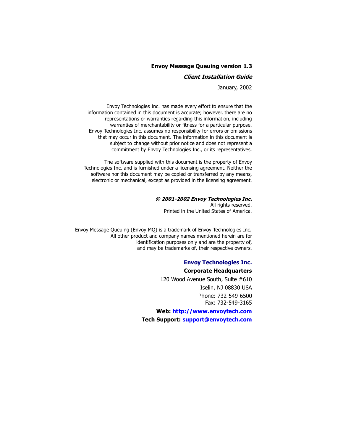### **[Envoy Message Queuing version 1.3](#page-0-1)**

### **[Client Installation Guide](#page-0-0)**

January, 2002

Envoy Technologies Inc. has made every effort to ensure that the information contained in this document is accurate; however, there are no representations or warranties regarding this information, including warranties of merchantability or fitness for a particular purpose. Envoy Technologies Inc. assumes no responsibility for errors or omissions that may occur in this document. The information in this document is subject to change without prior notice and does not represent a commitment by Envoy Technologies Inc., or its representatives.

The software supplied with this document is the property of Envoy Technologies Inc. and is furnished under a licensing agreement. Neither the software nor this document may be copied or transferred by any means, electronic or mechanical, except as provided in the licensing agreement.

### **© 2001-2002 Envoy Technologies Inc.**

All rights reserved. Printed in the United States of America.

Envoy Message Queuing (Envoy MQ) is a trademark of Envoy Technologies Inc. All other product and company names mentioned herein are for identification purposes only and are the property of, and may be trademarks of, their respective owners.

### **Envoy Technologies Inc. Corporate Headquarters**

120 Wood Avenue South, Suite #610 Iselin, NJ 08830 USA Phone: 732-549-6500 Fax: 732-549-3165

**Web:<http://www.envoytech.com> Tech Support: [support@envoytech.com](emailto:support@envoytech.com)**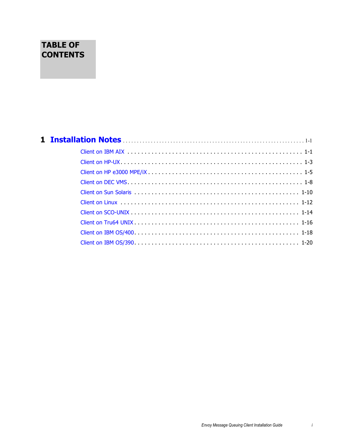# **TABLE OF CONTENTS**

# **[1](#page-4-0) Installation Notes** . . . . . . . . . . . . . . . . . . . . . . . . . . . . . . . . . . . . . . . . . . . . . . . . . . . . . . . . . . . . . . . . . 1-1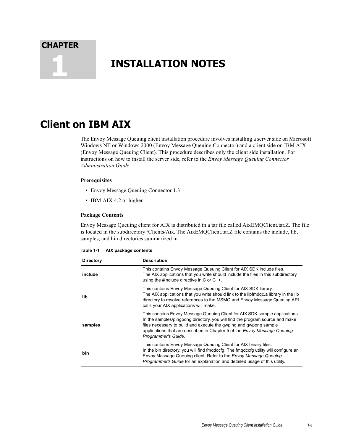<span id="page-4-0"></span>**CHAPTER**

# <span id="page-4-4"></span><span id="page-4-2"></span>**1 INSTALLATION NOTES**

# <span id="page-4-1"></span>**Client on IBM AIX**

<span id="page-4-6"></span><span id="page-4-5"></span>The Envoy Message Queuing client installation procedure involves installing a server side on Microsoft Windows NT or Windows 2000 (Envoy Message Queuing Connector) and a client side on IBM AIX (Envoy Message Queuing Client). This procedure describes only the client side installation. For instructions on how to install the server side, refer to the *Envoy Message Queuing Connector Administration Guide.*

### **Prerequisites**

- Envoy Message Queuing Connector 1.3
- IBM AIX 4.2 or higher

### **Package Contents**

<span id="page-4-3"></span>Envoy Message Queuing client for AIX is distributed in a tar file called AixEMQClient.tar.Z. The file is located in the subdirectory /Clients/Aix. The AixEMQClient.tar.Z file contains the include, lib, samples, and bin directories summarized in

| Table 1-1 | AIX package contents |  |
|-----------|----------------------|--|
|-----------|----------------------|--|

| <b>Directory</b> | <b>Description</b>                                                                                                                                                                                                                                                                                                                          |
|------------------|---------------------------------------------------------------------------------------------------------------------------------------------------------------------------------------------------------------------------------------------------------------------------------------------------------------------------------------------|
| include          | This contains Envoy Message Queuing Client for AIX SDK include files.<br>The AIX applications that you write should include the files in this subdirectory<br>using the #include directive in C or C++.                                                                                                                                     |
| lib              | This contains Envoy Message Queuing Client for AIX SDK library.<br>The AIX applications that you write should link to the libfmdgc.a library in the lib<br>directory to resolve references to the MSMQ and Envoy Message Queuing API<br>calls your AIX applications will make.                                                              |
| samples          | This contains Envoy Message Queuing Client for AIX SDK sample applications.<br>In the samples/pingpong directory, you will find the program source and make<br>files necessary to build and execute the gwping and gwpong sample<br>applications that are described in Chapter 5 of the <i>Envoy Message Queuing</i><br>Programmer's Guide. |
| bin              | This contains Envoy Message Queuing Client for AIX binary files.<br>In the bin directory, you will find fmgdccfg. The fmgdccfg utility will configure an<br>Envoy Message Queuing client. Refer to the Envoy Message Queuing<br><i>Programmer's Guide</i> for an explanation and detailed usage of this utility.                            |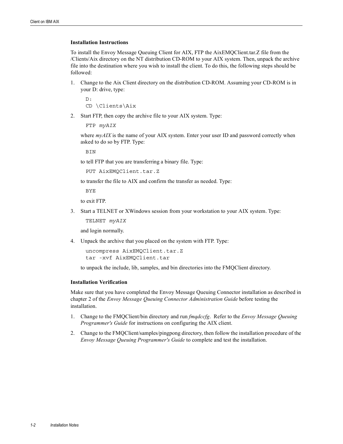To install the Envoy Message Queuing Client for AIX, FTP the AixEMQClient.tar.Z file from the /Clients/Aix directory on the NT distribution CD-ROM to your AIX system. Then, unpack the archive file into the destination where you wish to install the client. To do this, the following steps should be followed:

1. Change to the Aix Client directory on the distribution CD-ROM. Assuming your CD-ROM is in your D: drive, type:

```
D:
CD \Clients\Aix
```
2. Start FTP, then copy the archive file to your AIX system. Type:

FTP *myAIX*

where  $my$ *AIX* is the name of your AIX system. Enter your user ID and password correctly when asked to do so by FTP. Type:

**BIN** 

to tell FTP that you are transferring a binary file. Type:

```
PUT AixEMQClient.tar.Z
```
to transfer the file to AIX and confirm the transfer as needed. Type:

BYE

to exit FTP.

3. Start a TELNET or XWindows session from your workstation to your AIX system. Type:

TELNET *myAIX*

and login normally.

4. Unpack the archive that you placed on the system with FTP. Type:

```
uncompress AixEMQClient.tar.Z
tar -xvf AixEMQClient.tar
```
<span id="page-5-0"></span>to unpack the include, lib, samples, and bin directories into the FMQClient directory.

### **Installation Verification**

- 1. Change to the FMQClient/bin directory and run *fmqdccfg*. Refer to the *Envoy Message Queuing Programmer's Guide* for instructions on configuring the AIX client.
- 2. Change to the FMQClient/samples/pingpong directory, then follow the installation procedure of the *Envoy Message Queuing Programmer's Guide* to complete and test the installation.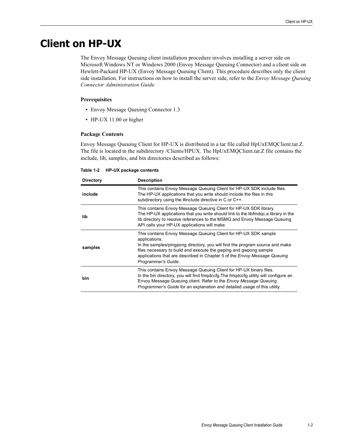# <span id="page-6-0"></span>**Client on HP-UX**

<span id="page-6-5"></span><span id="page-6-3"></span><span id="page-6-2"></span><span id="page-6-1"></span>The Envoy Message Queuing client installation procedure involves installing a server side on Microsoft Windows NT or Windows 2000 (Envoy Message Queuing Connector) and a client side on Hewlett-Packard HP-UX (Envoy Message Queuing Client). This procedure describes only the client side installation. For instructions on how to install the server side, refer to the *Envoy Message Queuing Connector Administration Guide.*

### **Prerequisites**

- <span id="page-6-4"></span>• Envoy Message Queuing Connector 1.3
- HP-UX 11.00 or higher

### **Package Contents**

Envoy Message Queuing Client for HP-UX is distributed in a tar file called HpUxEMQClient.tar.Z. The file is located in the subdirectory /Clients/HPUX. The HpUxEMQClient.tar.Z file contains the include, lib, samples, and bin directories described as follows:

| Table 1-2 |  |  | HP-UX package contents |
|-----------|--|--|------------------------|
|-----------|--|--|------------------------|

| <b>Directory</b> | <b>Description</b>                                                                                                                                                                                                                                                                                                                        |
|------------------|-------------------------------------------------------------------------------------------------------------------------------------------------------------------------------------------------------------------------------------------------------------------------------------------------------------------------------------------|
| include          | This contains Envoy Message Queuing Client for HP-UX SDK include files.<br>The HP-UX applications that you write should include the files in this<br>subdirectory using the #include directive in C or C++.                                                                                                                               |
| lib              | This contains Envoy Message Queuing Client for HP-UX SDK library.<br>The HP-UX applications that you write should link to the libfmdgc.a library in the<br>lib directory to resolve references to the MSMQ and Envoy Message Queuing<br>API calls your HP-UX applications will make.                                                      |
| samples          | This contains Envoy Message Queuing Client for HP-UX SDK sample<br>applications.<br>In the samples/pingpong directory, you will find the program source and make<br>files necessary to build and execute the gwping and gwpong sample<br>applications that are described in Chapter 5 of the Envoy Message Queuing<br>Programmer's Guide. |
| bin              | This contains Envoy Message Queuing Client for HP-UX binary files.<br>In the bin directory, you will find fmgdccfg. The fmgdccfg utility will configure an<br>Envoy Message Queuing client. Refer to the <i>Envoy Message Queuing</i><br>Programmer's Guide for an explanation and detailed usage of this utility.                        |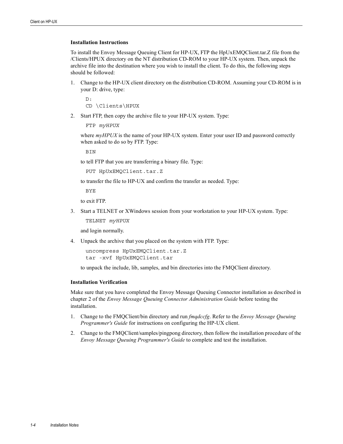To install the Envoy Message Queuing Client for HP-UX, FTP the HpUxEMQClient.tar.Z file from the /Clients/HPUX directory on the NT distribution CD-ROM to your HP-UX system. Then, unpack the archive file into the destination where you wish to install the client. To do this, the following steps should be followed:

1. Change to the HP-UX client directory on the distribution CD-ROM. Assuming your CD-ROM is in your D: drive, type:

D: CD \Clients\HPUX

2. Start FTP, then copy the archive file to your HP-UX system. Type:

FTP *myHPUX*

where  $myHPUX$  is the name of your HP-UX system. Enter your user ID and password correctly when asked to do so by FTP. Type:

**BIN** 

to tell FTP that you are transferring a binary file. Type:

PUT HpUxEMQClient.tar.Z

to transfer the file to HP-UX and confirm the transfer as needed. Type:

BYE

to exit FTP.

3. Start a TELNET or XWindows session from your workstation to your HP-UX system. Type:

TELNET *myHPUX*

and login normally.

4. Unpack the archive that you placed on the system with FTP. Type:

```
uncompress HpUxEMQClient.tar.Z
tar -xvf HpUxEMQClient.tar
```
<span id="page-7-0"></span>to unpack the include, lib, samples, and bin directories into the FMQClient directory.

### **Installation Verification**

- 1. Change to the FMQClient/bin directory and run *fmqdccfg*. Refer to the *Envoy Message Queuing Programmer's Guide* for instructions on configuring the HP-UX client.
- 2. Change to the FMQClient/samples/pingpong directory, then follow the installation procedure of the *Envoy Message Queuing Programmer's Guide* to complete and test the installation.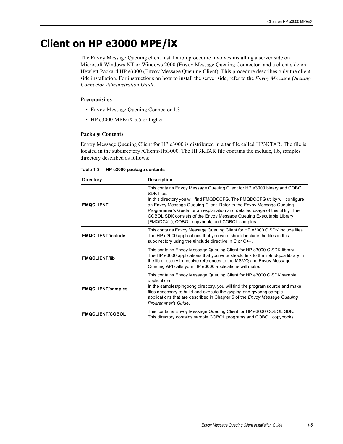# <span id="page-8-0"></span>**Client on HP e3000 MPE/iX**

<span id="page-8-3"></span><span id="page-8-2"></span><span id="page-8-1"></span>The Envoy Message Queuing client installation procedure involves installing a server side on Microsoft Windows NT or Windows 2000 (Envoy Message Queuing Connector) and a client side on Hewlett-Packard HP e3000 (Envoy Message Queuing Client). This procedure describes only the client side installation. For instructions on how to install the server side, refer to the *Envoy Message Queuing Connector Administration Guide.*

### **Prerequisites**

- Envoy Message Queuing Connector 1.3
- HP e3000 MPE/iX 5.5 or higher

### **Package Contents**

Envoy Message Queuing Client for HP e3000 is distributed in a tar file called HP3KTAR. The file is located in the subdirectory /Clients/Hp3000. The HP3KTAR file contains the include, lib, samples directory described as follows:

|  | Table 1-3 HP e3000 package contents |  |  |
|--|-------------------------------------|--|--|
|--|-------------------------------------|--|--|

| <b>Directory</b>         | <b>Description</b>                                                                                                                                                                                                                                                                                                                                                                                                                                    |
|--------------------------|-------------------------------------------------------------------------------------------------------------------------------------------------------------------------------------------------------------------------------------------------------------------------------------------------------------------------------------------------------------------------------------------------------------------------------------------------------|
| <b>FMQCLIENT</b>         | This contains Envoy Message Queuing Client for HP e3000 binary and COBOL<br>SDK files<br>In this directory you will find FMQDCCFG. The FMQDCCFG utility will configure<br>an Envoy Message Queuing Client. Refer to the Envoy Message Queuing<br>Programmer's Guide for an explanation and detailed usage of this utility. The<br>COBOL SDK consists of the Envoy Message Queuing Executable Library<br>(FMQDCXL), COBOL copybook, and COBOL samples. |
| <b>FMQCLIENT/include</b> | This contains Envoy Message Queuing Client for HP e3000 C SDK include files.<br>The HP e3000 applications that you write should include the files in this<br>subdirectory using the #include directive in C or C++.                                                                                                                                                                                                                                   |
| <b>FMQCLIENT/lib</b>     | This contains Envoy Message Queuing Client for HP e3000 C SDK library.<br>The HP e3000 applications that you write should link to the libfmdgc.a library in<br>the lib directory to resolve references to the MSMQ and Envoy Message<br>Queuing API calls your HP e3000 applications will make.                                                                                                                                                       |
| <b>FMQCLIENT/samples</b> | This contains Envoy Message Queuing Client for HP e3000 C SDK sample<br>applications.<br>In the samples/pingpong directory, you will find the program source and make<br>files necessary to build and execute the gwping and gwpong sample<br>applications that are described in Chapter 5 of the Envoy Message Queuing<br>Programmer's Guide.                                                                                                        |
| <b>FMQCLIENT/COBOL</b>   | This contains Envoy Message Queuing Client for HP e3000 COBOL SDK.<br>This directory contains sample COBOL programs and COBOL copybooks.                                                                                                                                                                                                                                                                                                              |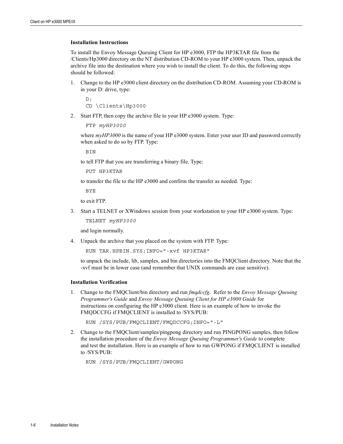To install the Envoy Message Queuing Client for HP e3000, FTP the HP3KTAR file from the /Clients/Hp3000 directory on the NT distribution CD-ROM to your HP e3000 system. Then, unpack the archive file into the destination where you wish to install the client. To do this, the following steps should be followed:

1. Change to the HP e3000 client directory on the distribution CD-ROM. Assuming your CD-ROM is in your D: drive, type:

```
D:
CD \Clients\Hp3000
```
2. Start FTP, then copy the archive file to your HP e3000 system. Type:

```
FTP myHP3000
```
where  $myHP3000$  is the name of your HP e3000 system. Enter your user ID and password correctly when asked to do so by FTP. Type:

**BIN** 

to tell FTP that you are transferring a binary file. Type:

PUT HP3KTAR

to transfer the file to the HP e3000 and confirm the transfer as needed. Type:

BYE

to exit FTP.

3. Start a TELNET or XWindows session from your workstation to your HP e3000 system. Type:

TELNET *myHP3000*

and login normally.

4. Unpack the archive that you placed on the system with FTP. Type:

```
RUN TAR.HPBIN.SYS;INFO="-xvf HP3KTAR"
```
to unpack the include, lib, samples, and bin directories into the FMQClient directory. Note that the -xvf must be in lower case (and remember that UNIX commands are case sensitive).

### **Installation Verification**

1. Change to the FMQClient/bin directory and run *fmqdccfg*. Refer to the *Envoy Message Queuing Programmer's Guide* and *Envoy Message Queuing Client for HP e3000 Guide* for instructions on configuring the HP e3000 client. Here is an example of how to invoke the FMQDCCFG if FMQCLIENT is installed to /SYS/PUB:

RUN /SYS/PUB/FMQCLIENT/FMQDCCFG;INFO="-L"

2. Change to the FMQClient/samples/pingpong directory and run PINGPONG samples, then follow the installation procedure of the *Envoy Message Queuing Programmer's Guide* to complete and test the installation. Here is an example of how to run GWPONG if FMQCLIENT is installed to /SYS/PUB:

RUN /SYS/PUB/FMQCLIENT/GWPONG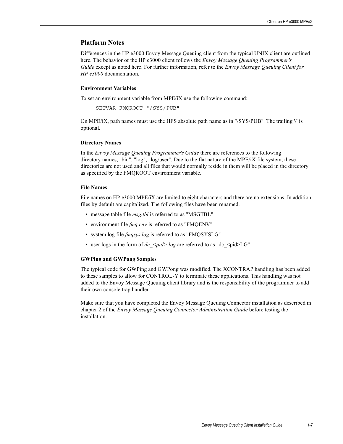### **Platform Notes**

Differences in the HP e3000 Envoy Message Queuing client from the typical UNIX client are outlined here. The behavior of the HP e3000 client follows the *Envoy Message Queuing Programmer's Guide* except as noted here. For further information, refer to the *Envoy Message Queuing Client for HP e3000* documentation.

### **Environment Variables**

To set an environment variable from MPE/iX use the following command:

```
SETVAR FMQROOT "/SYS/PUB"
```
<span id="page-10-3"></span>On MPE/iX, path names must use the HFS absolute path name as in "/SYS/PUB". The trailing '/' is optional.

### **Directory Names**

In the *Envoy Message Queuing Programmer's Guide* there are references to the following directory names, "bin", "log", "log/user". Due to the flat nature of the MPE/iX file system, these directories are not used and all files that would normally reside in them will be placed in the directory as specified by the FMQROOT environment variable.

### **File Names**

File names on HP e3000 MPE/iX are limited to eight characters and there are no extensions. In addition files by default are capitalized. The following files have been renamed.

- message table file *msg.tbl* is referred to as "MSGTBL"
- environment file *fmq.env* is referred to as "FMQENV"
- system log file *fmqsys.log* is referred to as "FMQSYSLG"
- <span id="page-10-1"></span>• user logs in the form of  $dc$  <pid>.log are referred to as "dc <pid>LG"

### **GWPing and GWPong Samples**

<span id="page-10-0"></span>The typical code for GWPing and GWPong was modified. The XCONTRAP handling has been added to these samples to allow for CONTROL-Y to terminate these applications. This handling was not added to the Envoy Message Queuing client library and is the responsibility of the programmer to add their own console trap handler.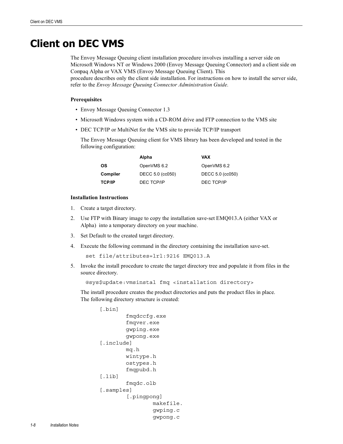# <span id="page-11-0"></span>**Client on DEC VMS**

<span id="page-11-5"></span><span id="page-11-4"></span><span id="page-11-1"></span>The Envoy Message Queuing client installation procedure involves installing a server side on Microsoft Windows NT or Windows 2000 (Envoy Message Queuing Connector) and a client side on Compaq Alpha or VAX VMS (Envoy Message Queuing Client). This procedure describes only the client side installation. For instructions on how to install the server side, refer to the *Envoy Message Queuing Connector Administration Guide.* 

### **Prerequisites**

- Envoy Message Queuing Connector 1.3
- <span id="page-11-3"></span>• Microsoft Windows system with a CD-ROM drive and FTP connection to the VMS site
- DEC TCP/IP or MultiNet for the VMS site to provide TCP/IP transport

The Envoy Message Queuing client for VMS library has been developed and tested in the following configuration:

<span id="page-11-7"></span><span id="page-11-6"></span><span id="page-11-2"></span>

|               | Alpha            | VAX              |
|---------------|------------------|------------------|
| <b>OS</b>     | OpenVMS 6.2      | OpenVMS 6.2      |
| Compiler      | DECC 5.0 (cc050) | DECC 5.0 (cc050) |
| <b>TCP/IP</b> | DEC TCP/IP       | DEC TCP/IP       |

### **Installation Instructions**

- 1. Create a target directory.
- 2. Use FTP with Binary image to copy the installation save-set EMQ013.A (either VAX or Alpha) into a temporary directory on your machine.
- 3. Set Default to the created target directory.
- 4. Execute the following command in the directory containing the installation save-set.

```
set file/attributes=lrl:9216 EMQ013.A
```
5. Invoke the install procedure to create the target directory tree and populate it from files in the source directory.

@sys\$update:vmsinstal fmq <installation directory>

The install procedure creates the product directories and puts the product files in place. The following directory structure is created:

```
[.bin]
          fmqdccfg.exe
          fmqver.exe
          gwping.exe
          gwpong.exe
 [.include]
          mq.h
          wintype.h
          ostypes.h
          fmqpubd.h
 [.lib]
          fmqdc.olb
 [.samples]
          [.pingpong]
                   makefile.
                   gwping.c
                   gwpong.c
```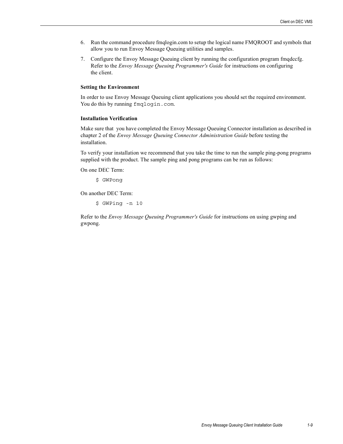- 6. Run the command procedure fmqlogin.com to setup the logical name FMQROOT and symbols that allow you to run Envoy Message Queuing utilities and samples.
- 7. Configure the Envoy Message Queuing client by running the configuration program fmqdccfg. Refer to the *Envoy Message Queuing Programmer's Guide* for instructions on configuring the client.

### **Setting the Environment**

In order to use Envoy Message Queuing client applications you should set the required environment. You do this by running fmqlogin.com.

### <span id="page-12-0"></span>**Installation Verification**

Make sure that you have completed the Envoy Message Queuing Connector installation as described in chapter 2 of the *Envoy Message Queuing Connector Administration Guide* before testing the installation.

To verify your installation we recommend that you take the time to run the sample ping-pong programs supplied with the product. The sample ping and pong programs can be run as follows:

<span id="page-12-1"></span>On one DEC Term:

\$ GWPong

On another DEC Term:

\$ GWPing -n 10

Refer to the *Envoy Message Queuing Programmer's Guide* for instructions on using gwping and gwpong.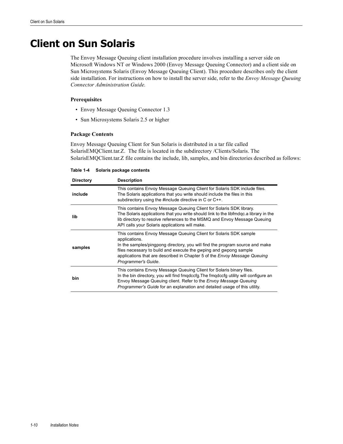# <span id="page-13-0"></span>**Client on Sun Solaris**

<span id="page-13-3"></span><span id="page-13-2"></span><span id="page-13-1"></span>The Envoy Message Queuing client installation procedure involves installing a server side on Microsoft Windows NT or Windows 2000 (Envoy Message Queuing Connector) and a client side on Sun Microsystems Solaris (Envoy Message Queuing Client). This procedure describes only the client side installation. For instructions on how to install the server side, refer to the *Envoy Message Queuing Connector Administration Guide.*

### **Prerequisites**

- Envoy Message Queuing Connector 1.3
- Sun Microsystems Solaris 2.5 or higher

### **Package Contents**

Envoy Message Queuing Client for Sun Solaris is distributed in a tar file called SolarisEMQClient.tar.Z. The file is located in the subdirectory /Clients/Solaris. The SolarisEMQClient.tar.Z file contains the include, lib, samples, and bin directories described as follows:

**Table 1-4 Solaris package contents**

| <b>Directory</b> | <b>Description</b>                                                                                                                                                                                                                                                                                                                          |
|------------------|---------------------------------------------------------------------------------------------------------------------------------------------------------------------------------------------------------------------------------------------------------------------------------------------------------------------------------------------|
| include          | This contains Envoy Message Queuing Client for Solaris SDK include files.<br>The Solaris applications that you write should include the files in this<br>subdirectory using the #include directive in C or C++.                                                                                                                             |
| lib              | This contains Envoy Message Queuing Client for Solaris SDK library.<br>The Solaris applications that you write should link to the libfmdgc.a library in the<br>lib directory to resolve references to the MSMQ and Envoy Message Queuing<br>API calls your Solaris applications will make.                                                  |
| samples          | This contains Envoy Message Queuing Client for Solaris SDK sample<br>applications.<br>In the samples/pingpong directory, you will find the program source and make<br>files necessary to build and execute the gwping and gwpong sample<br>applications that are described in Chapter 5 of the Envoy Message Queuing<br>Programmer's Guide. |
| bin              | This contains Envoy Message Queuing Client for Solaris binary files.<br>In the bin directory, you will find fmgdccfg. The fmgdccfg utility will configure an<br>Envoy Message Queuing client. Refer to the <i>Envoy Message Queuing</i><br><i>Programmer's Guide</i> for an explanation and detailed usage of this utility.                 |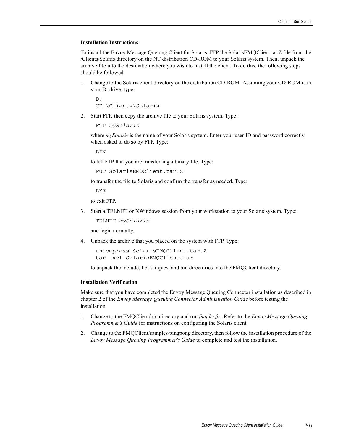To install the Envoy Message Queuing Client for Solaris, FTP the SolarisEMQClient.tar.Z file from the /Clients/Solaris directory on the NT distribution CD-ROM to your Solaris system. Then, unpack the archive file into the destination where you wish to install the client. To do this, the following steps should be followed:

1. Change to the Solaris client directory on the distribution CD-ROM. Assuming your CD-ROM is in your D: drive, type:

```
D:
CD \Clients\Solaris
```
2. Start FTP, then copy the archive file to your Solaris system. Type:

```
FTP mySolaris
```
where *mySolaris* is the name of your Solaris system. Enter your user ID and password correctly when asked to do so by FTP. Type:

**BIN** 

to tell FTP that you are transferring a binary file. Type:

```
PUT SolarisEMQClient.tar.Z
```
to transfer the file to Solaris and confirm the transfer as needed. Type:

BYE

to exit FTP.

3. Start a TELNET or XWindows session from your workstation to your Solaris system. Type:

TELNET *mySolaris*

and login normally.

4. Unpack the archive that you placed on the system with FTP. Type:

```
uncompress SolarisEMQClient.tar.Z
tar -xvf SolarisEMQClient.tar
```
<span id="page-14-0"></span>to unpack the include, lib, samples, and bin directories into the FMQClient directory.

### **Installation Verification**

- 1. Change to the FMQClient/bin directory and run *fmqdccfg*. Refer to the *Envoy Message Queuing Programmer's Guide* for instructions on configuring the Solaris client.
- 2. Change to the FMQClient/samples/pingpong directory, then follow the installation procedure of the *Envoy Message Queuing Programmer's Guide* to complete and test the installation.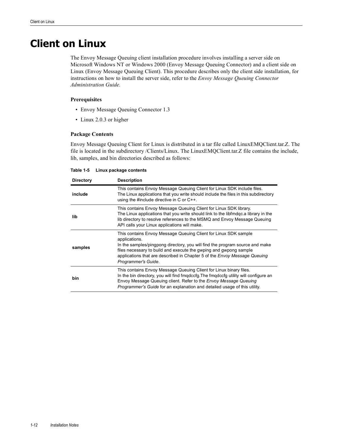# <span id="page-15-0"></span>**Client on Linux**

<span id="page-15-3"></span><span id="page-15-2"></span><span id="page-15-1"></span>The Envoy Message Queuing client installation procedure involves installing a server side on Microsoft Windows NT or Windows 2000 (Envoy Message Queuing Connector) and a client side on Linux (Envoy Message Queuing Client). This procedure describes only the client side installation, for instructions on how to install the server side, refer to the *Envoy Message Queuing Connector Administration Guide.*

### **Prerequisites**

- Envoy Message Queuing Connector 1.3
- <span id="page-15-4"></span>• Linux 2.0.3 or higher

### **Package Contents**

Envoy Message Queuing Client for Linux is distributed in a tar file called LinuxEMQClient.tar.Z. The file is located in the subdirectory /Clients/Linux. The LinuxEMQClient.tar.Z file contains the include, lib, samples, and bin directories described as follows:

**Table 1-5 Linux package contents**

| <b>Directory</b> | <b>Description</b>                                                                                                                                                                                                                                                                                                                        |
|------------------|-------------------------------------------------------------------------------------------------------------------------------------------------------------------------------------------------------------------------------------------------------------------------------------------------------------------------------------------|
| include          | This contains Envoy Message Queuing Client for Linux SDK include files.<br>The Linux applications that you write should include the files in this subdirectory<br>using the #include directive in $C$ or $C++$ .                                                                                                                          |
| lib              | This contains Envoy Message Queuing Client for Linux SDK library.<br>The Linux applications that you write should link to the libfmdgc.a library in the<br>lib directory to resolve references to the MSMQ and Envoy Message Queuing<br>API calls your Linux applications will make.                                                      |
| samples          | This contains Envoy Message Queuing Client for Linux SDK sample<br>applications.<br>In the samples/pingpong directory, you will find the program source and make<br>files necessary to build and execute the gwping and gwpong sample<br>applications that are described in Chapter 5 of the Envoy Message Queuing<br>Programmer's Guide. |
| bin              | This contains Envoy Message Queuing Client for Linux binary files.<br>In the bin directory, you will find fmgdccfg. The fmgdccfg utility will configure an<br>Envoy Message Queuing client. Refer to the <i>Envoy Message Queuing</i><br><i>Programmer's Guide</i> for an explanation and detailed usage of this utility.                 |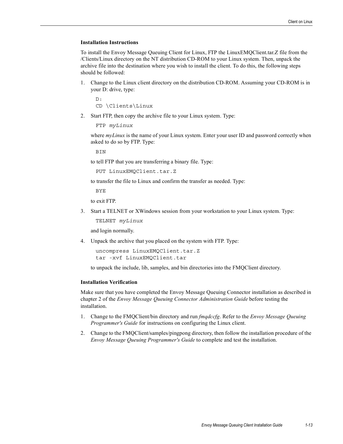To install the Envoy Message Queuing Client for Linux, FTP the LinuxEMQClient.tar.Z file from the /Clients/Linux directory on the NT distribution CD-ROM to your Linux system. Then, unpack the archive file into the destination where you wish to install the client. To do this, the following steps should be followed:

1. Change to the Linux client directory on the distribution CD-ROM. Assuming your CD-ROM is in your D: drive, type:

```
D:
CD \Clients\Linux
```
2. Start FTP, then copy the archive file to your Linux system. Type:

```
FTP myLinux
```
where *myLinux* is the name of your Linux system. Enter your user ID and password correctly when asked to do so by FTP. Type:

**BIN** 

to tell FTP that you are transferring a binary file. Type:

```
PUT LinuxEMQClient.tar.Z
```
to transfer the file to Linux and confirm the transfer as needed. Type:

BYE

to exit FTP.

3. Start a TELNET or XWindows session from your workstation to your Linux system. Type:

TELNET *myLinux*

and login normally.

4. Unpack the archive that you placed on the system with FTP. Type:

```
uncompress LinuxEMQClient.tar.Z
tar -xvf LinuxEMQClient.tar
```
<span id="page-16-0"></span>to unpack the include, lib, samples, and bin directories into the FMQClient directory.

### **Installation Verification**

- 1. Change to the FMQClient/bin directory and run *fmqdccfg*. Refer to the *Envoy Message Queuing Programmer's Guide* for instructions on configuring the Linux client.
- 2. Change to the FMQClient/samples/pingpong directory, then follow the installation procedure of the *Envoy Message Queuing Programmer's Guide* to complete and test the installation.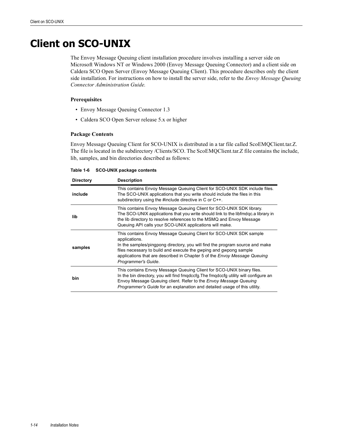# <span id="page-17-0"></span>**Client on SCO-UNIX**

<span id="page-17-3"></span><span id="page-17-2"></span><span id="page-17-1"></span>The Envoy Message Queuing client installation procedure involves installing a server side on Microsoft Windows NT or Windows 2000 (Envoy Message Queuing Connector) and a client side on Caldera SCO Open Server (Envoy Message Queuing Client). This procedure describes only the client side installation. For instructions on how to install the server side, refer to the *Envoy Message Queuing Connector Administration Guide.*

### **Prerequisites**

- Envoy Message Queuing Connector 1.3
- Caldera SCO Open Server release 5.x or higher

### **Package Contents**

Envoy Message Queuing Client for SCO-UNIX is distributed in a tar file called ScoEMQClient.tar.Z. The file is located in the subdirectory /Clients/SCO. The ScoEMQClient.tar.Z file contains the include, lib, samples, and bin directories described as follows:

| Table 1-6 | <b>SCO-UNIX package contents</b> |  |  |
|-----------|----------------------------------|--|--|
|-----------|----------------------------------|--|--|

| <b>Directory</b> | <b>Description</b>                                                                                                                                                                                                                                                                                                                                  |
|------------------|-----------------------------------------------------------------------------------------------------------------------------------------------------------------------------------------------------------------------------------------------------------------------------------------------------------------------------------------------------|
| include          | This contains Envoy Message Queuing Client for SCO-UNIX SDK include files.<br>The SCO-UNIX applications that you write should include the files in this<br>subdirectory using the #include directive in C or C++.                                                                                                                                   |
| lib              | This contains Envoy Message Queuing Client for SCO-UNIX SDK library.<br>The SCO-UNIX applications that you write should link to the libfmdgc.a library in<br>the lib directory to resolve references to the MSMQ and Envoy Message<br>Queuing API calls your SCO-UNIX applications will make.                                                       |
| samples          | This contains Envoy Message Queuing Client for SCO-UNIX SDK sample<br>applications.<br>In the samples/pingpong directory, you will find the program source and make<br>files necessary to build and execute the gwping and gwpong sample<br>applications that are described in Chapter 5 of the <i>Envoy Message Queuing</i><br>Programmer's Guide. |
| bin              | This contains Envoy Message Queuing Client for SCO-UNIX binary files.<br>In the bin directory, you will find fmgdccfg. The fmgdccfg utility will configure an<br>Envoy Message Queuing client. Refer to the <i>Envoy Message Queuing</i><br><i>Programmer's Guide</i> for an explanation and detailed usage of this utility.                        |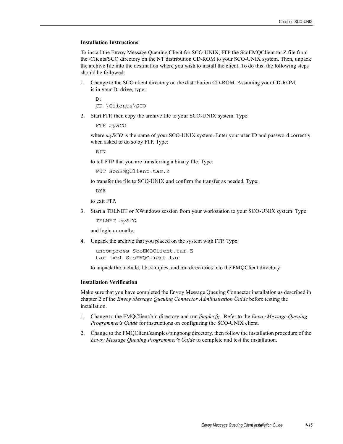To install the Envoy Message Queuing Client for SCO-UNIX, FTP the ScoEMQClient.tar.Z file from the /Clients/SCO directory on the NT distribution CD-ROM to your SCO-UNIX system. Then, unpack the archive file into the destination where you wish to install the client. To do this, the following steps should be followed:

1. Change to the SCO client directory on the distribution CD-ROM. Assuming your CD-ROM is in your D: drive, type:

```
D:
CD \Clients\SCO
```
2. Start FTP, then copy the archive file to your SCO-UNIX system. Type:

```
FTP mySCO
```
where  $m\text{y}SCO$  is the name of your SCO-UNIX system. Enter your user ID and password correctly when asked to do so by FTP. Type:

**BIN** 

to tell FTP that you are transferring a binary file. Type:

```
PUT ScoEMQClient.tar.Z
```
to transfer the file to SCO-UNIX and confirm the transfer as needed. Type:

BYE

to exit FTP.

3. Start a TELNET or XWindows session from your workstation to your SCO-UNIX system. Type:

TELNET *mySCO*

and login normally.

4. Unpack the archive that you placed on the system with FTP. Type:

```
uncompress ScoEMQClient.tar.Z
tar -xvf ScoEMQClient.tar
```
<span id="page-18-0"></span>to unpack the include, lib, samples, and bin directories into the FMQClient directory.

### **Installation Verification**

- 1. Change to the FMQClient/bin directory and run *fmqdccfg*. Refer to the *Envoy Message Queuing Programmer's Guide* for instructions on configuring the SCO-UNIX client.
- 2. Change to the FMQClient/samples/pingpong directory, then follow the installation procedure of the *Envoy Message Queuing Programmer's Guide* to complete and test the installation.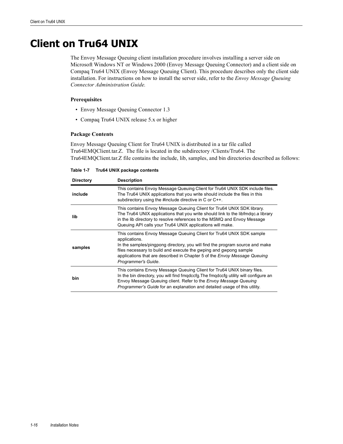# <span id="page-19-0"></span>**Client on Tru64 UNIX**

<span id="page-19-3"></span><span id="page-19-2"></span><span id="page-19-1"></span>The Envoy Message Queuing client installation procedure involves installing a server side on Microsoft Windows NT or Windows 2000 (Envoy Message Queuing Connector) and a client side on Compaq Tru64 UNIX (Envoy Message Queuing Client). This procedure describes only the client side installation. For instructions on how to install the server side, refer to the *Envoy Message Queuing Connector Administration Guide.*

### **Prerequisites**

- Envoy Message Queuing Connector 1.3
- Compaq Tru64 UNIX release 5.x or higher

### **Package Contents**

Envoy Message Queuing Client for Tru64 UNIX is distributed in a tar file called Tru64EMQClient.tar.Z. The file is located in the subdirectory /Clients/Tru64. The Tru64EMQClient.tar.Z file contains the include, lib, samples, and bin directories described as follows:

**Table 1-7 Tru64 UNIX package contents**

| <b>Directory</b> | <b>Description</b>                                                                                                                                                                                                                                                                                                                                    |
|------------------|-------------------------------------------------------------------------------------------------------------------------------------------------------------------------------------------------------------------------------------------------------------------------------------------------------------------------------------------------------|
| include          | This contains Envoy Message Queuing Client for Tru64 UNIX SDK include files.<br>The Tru64 UNIX applications that you write should include the files in this<br>subdirectory using the #include directive in C or C++.                                                                                                                                 |
| lib              | This contains Envoy Message Queuing Client for Tru64 UNIX SDK library.<br>The Tru64 UNIX applications that you write should link to the libfmdgc.a library<br>in the lib directory to resolve references to the MSMQ and Envoy Message<br>Queuing API calls your Tru64 UNIX applications will make.                                                   |
| samples          | This contains Envoy Message Queuing Client for Tru64 UNIX SDK sample<br>applications.<br>In the samples/pingpong directory, you will find the program source and make<br>files necessary to build and execute the gwping and gwpong sample<br>applications that are described in Chapter 5 of the <i>Envoy Message Queuing</i><br>Programmer's Guide. |
| bin              | This contains Envoy Message Queuing Client for Tru64 UNIX binary files.<br>In the bin directory, you will find fmgdccfg. The fmgdccfg utility will configure an<br>Envoy Message Queuing client. Refer to the <i>Envoy Message Queuing</i><br><i>Programmer's Guide</i> for an explanation and detailed usage of this utility.                        |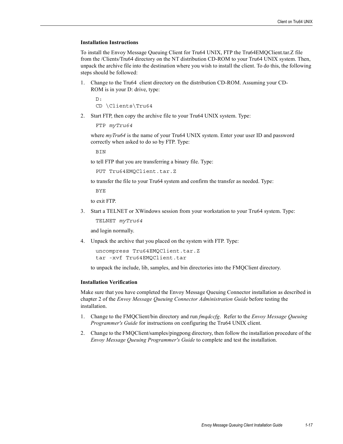To install the Envoy Message Queuing Client for Tru64 UNIX, FTP the Tru64EMQClient.tar.Z file from the /Clients/Tru64 directory on the NT distribution CD-ROM to your Tru64 UNIX system. Then, unpack the archive file into the destination where you wish to install the client. To do this, the following steps should be followed:

1. Change to the Tru64 client directory on the distribution CD-ROM. Assuming your CD-ROM is in your D: drive, type:

```
D:
CD \Clients\Tru64
```
2. Start FTP, then copy the archive file to your Tru64 UNIX system. Type:

```
FTP myTru64
```
where *myTru64* is the name of your Tru64 UNIX system. Enter your user ID and password correctly when asked to do so by FTP. Type:

**BIN** 

to tell FTP that you are transferring a binary file. Type:

```
PUT Tru64EMQClient.tar.Z
```
to transfer the file to your Tru64 system and confirm the transfer as needed. Type:

BYE

to exit FTP.

3. Start a TELNET or XWindows session from your workstation to your Tru64 system. Type:

TELNET *myTru64*

and login normally.

4. Unpack the archive that you placed on the system with FTP. Type:

```
uncompress Tru64EMQClient.tar.Z
tar -xvf Tru64EMQClient.tar
```
<span id="page-20-0"></span>to unpack the include, lib, samples, and bin directories into the FMQClient directory.

#### **Installation Verification**

- 1. Change to the FMQClient/bin directory and run *fmqdccfg*. Refer to the *Envoy Message Queuing Programmer's Guide* for instructions on configuring the Tru64 UNIX client.
- 2. Change to the FMQClient/samples/pingpong directory, then follow the installation procedure of the *Envoy Message Queuing Programmer's Guide* to complete and test the installation.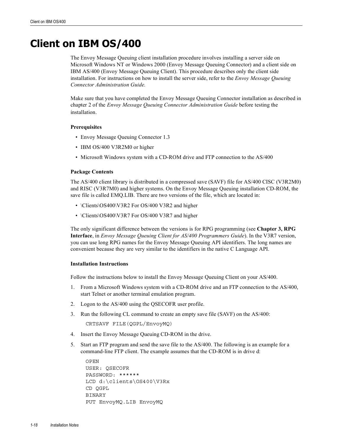# <span id="page-21-0"></span>**Client on IBM OS/400**

<span id="page-21-3"></span><span id="page-21-2"></span><span id="page-21-1"></span>The Envoy Message Queuing client installation procedure involves installing a server side on Microsoft Windows NT or Windows 2000 (Envoy Message Queuing Connector) and a client side on IBM AS/400 (Envoy Message Queuing Client). This procedure describes only the client side installation. For instructions on how to install the server side, refer to the *Envoy Message Queuing Connector Administration Guide.* 

Make sure that you have completed the Envoy Message Queuing Connector installation as described in chapter 2 of the *Envoy Message Queuing Connector Administration Guide* before testing the installation.

### **Prerequisites**

- Envoy Message Queuing Connector 1.3
- IBM OS/400 V3R2M0 or higher
- Microsoft Windows system with a CD-ROM drive and FTP connection to the AS/400

### **Package Contents**

The AS/400 client library is distributed in a compressed save (SAVF) file for AS/400 CISC (V3R2M0) and RISC (V3R7M0) and higher systems. On the Envoy Message Queuing installation CD-ROM, the save file is called EMQ.LIB. There are two versions of the file, which are located in:

- \Clients\OS400\V3R2 For OS/400 V3R2 and higher
- \Clients\OS400\V3R7 For OS/400 V3R7 and higher

The only significant difference between the versions is for RPG programming (see **Chapter 3, RPG Interface**, in *Envoy Message Queuing Client for AS/400 Programmers Guide*). In the V3R7 version, you can use long RPG names for the Envoy Message Queuing API identifiers. The long names are convenient because they are very similar to the identifiers in the native C Language API.

### **Installation Instructions**

Follow the instructions below to install the Envoy Message Queuing Client on your AS/400.

- 1. From a Microsoft Windows system with a CD-ROM drive and an FTP connection to the AS/400, start Telnet or another terminal emulation program.
- 2. Logon to the AS/400 using the QSECOFR user profile.
- 3. Run the following CL command to create an empty save file (SAVF) on the AS/400:

CRTSAVF FILE(QGPL/EnvoyMQ)

- 4. Insert the Envoy Message Queuing CD-ROM in the drive.
- 5. Start an FTP program and send the save file to the AS/400. The following is an example for a command-line FTP client. The example assumes that the CD-ROM is in drive d:

```
OPEN 
USER: QSECOFR
PASSWORD: ******
LCD d:\clients\OS400\V3Rx
CD QGPL
BINARY
PUT EnvoyMQ.LIB EnvoyMQ
```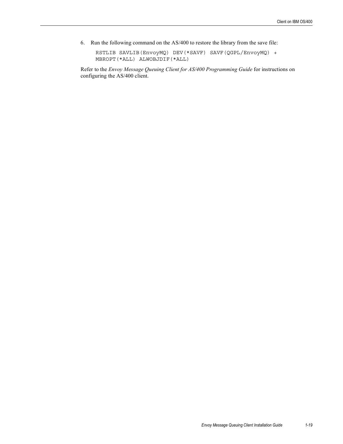6. Run the following command on the AS/400 to restore the library from the save file:

RSTLIB SAVLIB(EnvoyMQ) DEV(\*SAVF) SAVF(QGPL/EnvoyMQ) + MBROPT(\*ALL) ALWOBJDIF(\*ALL)

Refer to the *Envoy Message Queuing Client for AS/400 Programming Guide* for instructions on configuring the AS/400 client.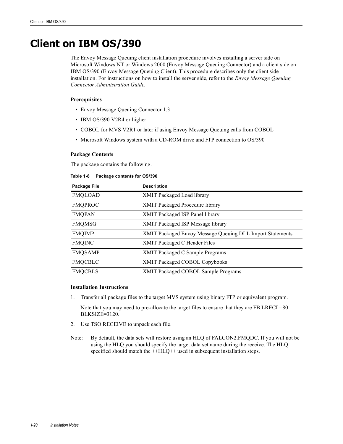# <span id="page-23-0"></span>**Client on IBM OS/390**

<span id="page-23-2"></span><span id="page-23-1"></span>The Envoy Message Queuing client installation procedure involves installing a server side on Microsoft Windows NT or Windows 2000 (Envoy Message Queuing Connector) and a client side on IBM OS/390 (Envoy Message Queuing Client). This procedure describes only the client side installation. For instructions on how to install the server side, refer to the *Envoy Message Queuing Connector Administration Guide.*

### **Prerequisites**

- Envoy Message Queuing Connector 1.3
- IBM OS/390 V2R4 or higher
- COBOL for MVS V2R1 or later if using Envoy Message Queuing calls from COBOL
- Microsoft Windows system with a CD-ROM drive and FTP connection to OS/390

### **Package Contents**

The package contains the following.

| Table 1-8 | Package contents for OS/390 |  |  |  |
|-----------|-----------------------------|--|--|--|
|-----------|-----------------------------|--|--|--|

| Package File   | <b>Description</b>                                        |
|----------------|-----------------------------------------------------------|
| <b>FMQLOAD</b> | XMIT Packaged Load library                                |
| <b>FMQPROC</b> | XMIT Packaged Procedure library                           |
| <b>FMQPAN</b>  | XMIT Packaged ISP Panel library                           |
| <b>FMQMSG</b>  | XMIT Packaged ISP Message library                         |
| <b>FMQIMP</b>  | XMIT Packaged Envoy Message Queuing DLL Import Statements |
| <b>FMQINC</b>  | XMIT Packaged C Header Files                              |
| <b>FMQSAMP</b> | <b>XMIT Packaged C Sample Programs</b>                    |
| <b>FMQCBLC</b> | <b>XMIT Packaged COBOL Copybooks</b>                      |
| <b>FMQCBLS</b> | XMIT Packaged COBOL Sample Programs                       |

### **Installation Instructions**

1. Transfer all package files to the target MVS system using binary FTP or equivalent program.

Note that you may need to pre-allocate the target files to ensure that they are FB LRECL=80 BLKSIZE=3120.

- 2. Use TSO RECEIVE to unpack each file.
- Note: By default, the data sets will restore using an HLQ of FALCON2.FMQDC. If you will not be using the HLQ you should specify the target data set name during the receive. The HLQ specified should match the ++HLQ++ used in subsequent installation steps.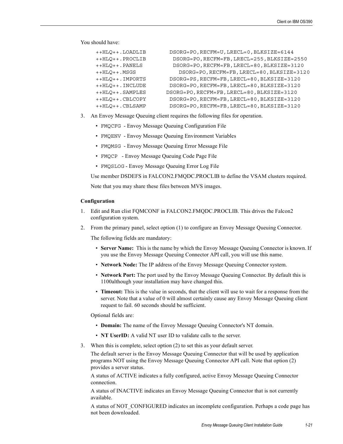You should have:

| ++HLO++.LOADLIB  | DSORG=PO, RECFM=U, LRECL=0, BLKSIZE=6144    |
|------------------|---------------------------------------------|
| ++HLO++.PROCLIB  | DSORG=PO, RECFM=FB, LRECL=255, BLKSIZE=2550 |
| ++HLO++.PANELS   | DSORG=PO, RECFM=FB, LRECL=80, BLKSIZE=3120  |
| ++HLO++.MSGS     | DSORG=PO, RECFM=FB, LRECL=80, BLKSIZE=3120  |
| ++HLO++. IMPORTS | DSORG=PS, RECFM=FB, LRECL=80, BLKSIZE=3120  |
| ++HLO++.INCLUDE  | DSORG=PO, RECFM=FB, LRECL=80, BLKSIZE=3120  |
| ++HLO++.SAMPLES  | DSORG=PO, RECFM=FB, LRECL=80, BLKSIZE=3120  |
| ++HLO++.CBLCOPY  | DSORG=PO, RECFM=FB, LRECL=80, BLKSIZE=3120  |
| ++HLO++.CBLSAMP  | DSORG=PO, RECFM=FB, LRECL=80, BLKSIZE=3120  |

- 3. An Envoy Message Queuing client requires the following files for operation.
	- FMQCFG Envoy Message Queuing Configuration File
	- FMQENV Envoy Message Queuing Environment Variables
	- FMQMSG Envoy Message Queuing Error Message File
	- FMQCP Envoy Message Queuing Code Page File
	- FMQSLOG Envoy Message Queuing Error Log File

Use member DSDEFS in FALCON2.FMQDC.PROCLIB to define the VSAM clusters required.

Note that you may share these files between MVS images.

### **Configuration**

- 1. Edit and Run clist FQMCONF in FALCON2.FMQDC.PROCLIB. This drives the Falcon2 configuration system.
- 2. From the primary panel, select option (1) to configure an Envoy Message Queuing Connector.

The following fields are mandatory:

- **Server Name:** This is the name by which the Envoy Message Queuing Connector is known. If you use the Envoy Message Queuing Connector API call, you will use this name.
- **Network Node:** The IP address of the Envoy Message Queuing Connector system.
- **Network Port:** The port used by the Envoy Message Queuing Connector. By default this is 1100although your installation may have changed this.
- **Timeout:** This is the value in seconds, that the client will use to wait for a response from the server. Note that a value of 0 will almost certainly cause any Envoy Message Queuing client request to fail. 60 seconds should be sufficient.

Optional fields are:

- **Domain:** The name of the Envoy Message Queuing Connector's NT domain.
- **NT UserID:** A valid NT user ID to validate calls to the server.
- 3. When this is complete, select option (2) to set this as your default server.

The default server is the Envoy Message Queuing Connector that will be used by application programs NOT using the Envoy Message Queuing Connector API call. Note that option (2) provides a server status.

A status of ACTIVE indicates a fully configured, active Envoy Message Queuing Connector connection.

A status of INACTIVE indicates an Envoy Message Queuing Connector that is not currently available.

A status of NOT\_CONFIGURED indicates an incomplete configuration. Perhaps a code page has not been downloaded.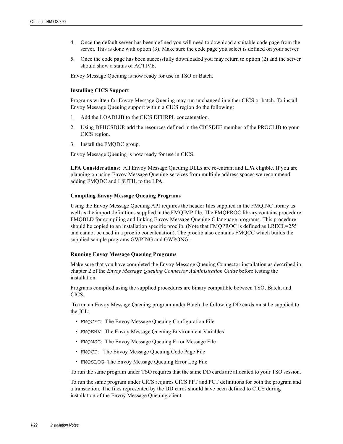- 4. Once the default server has been defined you will need to download a suitable code page from the server. This is done with option (3). Make sure the code page you select is defined on your server.
- 5. Once the code page has been successfully downloaded you may return to option (2) and the server should show a status of ACTIVE.

Envoy Message Queuing is now ready for use in TSO or Batch.

### <span id="page-25-1"></span><span id="page-25-0"></span>**Installing CICS Support**

Programs written for Envoy Message Queuing may run unchanged in either CICS or batch. To install Envoy Message Queuing support within a CICS region do the following:

- 1. Add the LOADLIB to the CICS DFHRPL concatenation.
- 2. Using DFHCSDUP, add the resources defined in the CICSDEF member of the PROCLIB to your CICS region.
- 3. Install the FMQDC group.

Envoy Message Queuing is now ready for use in CICS.

**LPA Considerations**: All Envoy Message Queuing DLLs are re-entrant and LPA eligible. If you are planning on using Envoy Message Queuing services from multiple address spaces we recommend adding FMQDC and L8UTIL to the LPA.

### **Compiling Envoy Message Queuing Programs**

Using the Envoy Message Queuing API requires the header files supplied in the FMQINC library as well as the import definitions supplied in the FMQIMP file. The FMQPROC library contains procedure FMQBLD for compiling and linking Envoy Message Queuing C language programs. This procedure should be copied to an installation specific proclib. (Note that FMQPROC is defined as LRECL=255 and cannot be used in a proclib concatenation). The proclib also contains FMQCC which builds the supplied sample programs GWPING and GWPONG.

### <span id="page-25-3"></span><span id="page-25-2"></span>**Running Envoy Message Queuing Programs**

Make sure that you have completed the Envoy Message Queuing Connector installation as described in chapter 2 of the *Envoy Message Queuing Connector Administration Guide* before testing the installation.

Programs compiled using the supplied procedures are binary compatible between TSO, Batch, and CICS.

 To run an Envoy Message Queuing program under Batch the following DD cards must be supplied to the JCL:

- FMQCFG: The Envoy Message Queuing Configuration File
- FMQENV: The Envoy Message Queuing Environment Variables
- FMQMSG: The Envoy Message Queuing Error Message File
- FMQCP: The Envoy Message Queuing Code Page File
- FMQSLOG: The Envoy Message Queuing Error Log File

To run the same program under TSO requires that the same DD cards are allocated to your TSO session.

To run the same program under CICS requires CICS PPT and PCT definitions for both the program and a transaction. The files represented by the DD cards should have been defined to CICS during installation of the Envoy Message Queuing client.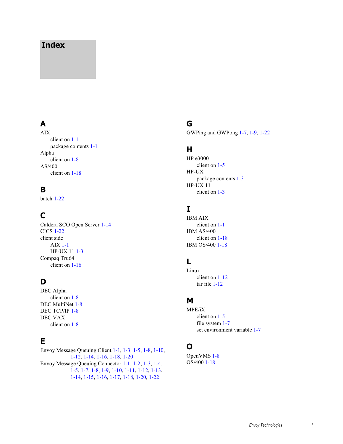## **Index**

# **A**

AIX client on [1-1](#page-4-2) package contents [1-1](#page-4-3) Alpha client on [1-8](#page-11-1) AS/400 client on [1-18](#page-21-1)

## **B**

batch [1-22](#page-25-0)

# **C**

Caldera SCO Open Server [1-14](#page-17-1) CICS [1-22](#page-25-1) client side AIX [1-1](#page-4-4) HP-UX 11 [1-3](#page-6-1) Compaq Tru64 client on [1-16](#page-19-1)

## **D**

DEC Alpha client on [1-8](#page-11-1) DEC MultiNet [1-8](#page-11-2) DEC TCP/IP [1-8](#page-11-3) DEC VAX client on [1-8](#page-11-1)

## **E**

Envoy Message Queuing Client [1-1,](#page-4-5) [1-3,](#page-6-2) [1-5,](#page-8-1) [1-8](#page-11-4), [1-10](#page-13-1), [1-12](#page-15-1), [1-14,](#page-17-2) [1-16](#page-19-2), [1-18](#page-21-2), [1-20](#page-23-1) Envoy Message Queuing Connector [1-1](#page-4-6), [1-2,](#page-5-0) [1-3](#page-6-3), [1-4,](#page-7-0) [1-5](#page-8-2), [1-7,](#page-10-0) [1-8,](#page-11-5) [1-9](#page-12-0), [1-10,](#page-13-2) [1-11,](#page-14-0) [1-12](#page-15-2), [1-13,](#page-16-0) [1-14](#page-17-3), [1-15,](#page-18-0) [1-16](#page-19-3), [1-17](#page-20-0), [1-18,](#page-21-3) [1-20,](#page-23-2) [1-22](#page-25-2)

## **G**

GWPing and GWPong [1-7](#page-10-1), [1-9,](#page-12-1) [1-22](#page-25-3)

### **H**

HP e3000 client on [1-5](#page-8-3) HP-UX package contents [1-3](#page-6-4) HP-UX 11 client on [1-3](#page-6-5)

# **I**

IBM AIX client on [1-1](#page-4-2) IBM AS/400 client on [1-18](#page-21-1) IBM OS/400 [1-18](#page-21-1)

# **L**

Linux client on [1-12](#page-15-3) tar file [1-12](#page-15-4)

### **M**

MPE/iX client on [1-5](#page-8-3) file system [1-7](#page-10-2) set environment variable [1-7](#page-10-3)

## **O**

OpenVMS [1-8](#page-11-6) OS/400 [1-18](#page-21-1)